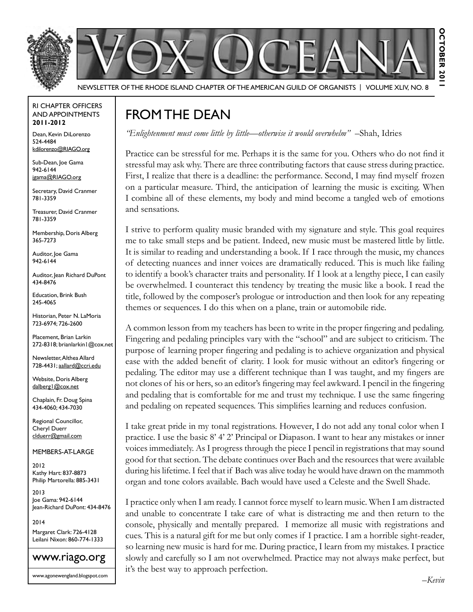

Newsletter of the Rhode Island Chapter of the American Guild of OrganistS | Volume XLIV, No. 8

#### RI Chapter Officers and Appointments **2011-2012**

Dean, Kevin DiLorenzo 524-4484 kdilorenzo@RIAGO.org

Sub-Dean, Joe Gama 942-6144 jgama@RIAGO.org

Secretary, David Cranmer 781-3359

Treasurer, David Cranmer 781-3359

Membership, Doris Alberg 365-7273

Auditor, Joe Gama 942-6144

Auditor, Jean Richard DuPont 434-8476

Education, Brink Bush 245-4065

Historian, Peter N. LaMoria 723-6974; 726-2600

Placement, Brian Larkin 272-8318; brianlarkin1@cox.net

Newsletter, Althea Allard 728-4431; aallard@ccri.edu

Website, Doris Alberg dalberg1@cox.net

Chaplain, Fr. Doug Spina 434-4060; 434-7030

Regional Councillor, Cheryl Duerr clduerr@gmail.com

Members-at-Large

2012 Kathy Hart: 837-8873 Philip Martorella: 885-3431

2013 Joe Gama: 942-6144 Jean-Richard DuPont: 434-8476

2014 Margaret Clark: 726-4128 Leilani Nixon: 860-774-1333



# From the Dean

*"Enlightenment must come little by little—otherwise it would overwhelm"* –Shah, Idries

Practice can be stressful for me. Perhaps it is the same for you. Others who do not find it stressful may ask why. There are three contributing factors that cause stress during practice. First, I realize that there is a deadline: the performance. Second, I may find myself frozen on a particular measure. Third, the anticipation of learning the music is exciting. When I combine all of these elements, my body and mind become a tangled web of emotions and sensations.

I strive to perform quality music branded with my signature and style. This goal requires me to take small steps and be patient. Indeed, new music must be mastered little by little. It is similar to reading and understanding a book. If I race through the music, my chances of detecting nuances and inner voices are dramatically reduced. This is much like failing to identify a book's character traits and personality. If I look at a lengthy piece, I can easily be overwhelmed. I counteract this tendency by treating the music like a book. I read the title, followed by the composer's prologue or introduction and then look for any repeating themes or sequences. I do this when on a plane, train or automobile ride.

A common lesson from my teachers has been to write in the proper fingering and pedaling. Fingering and pedaling principles vary with the "school" and are subject to criticism. The purpose of learning proper fingering and pedaling is to achieve organization and physical ease with the added benefit of clarity. I look for music without an editor's fingering or pedaling. The editor may use a different technique than I was taught, and my fingers are not clones of his or hers, so an editor's fingering may feel awkward. I pencil in the fingering and pedaling that is comfortable for me and trust my technique. I use the same fingering and pedaling on repeated sequences. This simplifies learning and reduces confusion.

I take great pride in my tonal registrations. However, I do not add any tonal color when I practice. I use the basic 8' 4' 2' Principal or Diapason. I want to hear any mistakes or inner voices immediately. As I progress through the piece I pencil in registrations that may sound good for that section. The debate continues over Bach and the resources that were available during his lifetime. I feel that if Bach was alive today he would have drawn on the mammoth organ and tone colors available. Bach would have used a Celeste and the Swell Shade.

I practice only when I am ready. I cannot force myself to learn music. When I am distracted and unable to concentrate I take care of what is distracting me and then return to the console, physically and mentally prepared. I memorize all music with registrations and cues. This is a natural gift for me but only comes if I practice. I am a horrible sight-reader, so learning new music is hard for me. During practice, I learn from my mistakes. I practice slowly and carefully so I am not overwhelmed. Practice may not always make perfect, but it's the best way to approach perfection.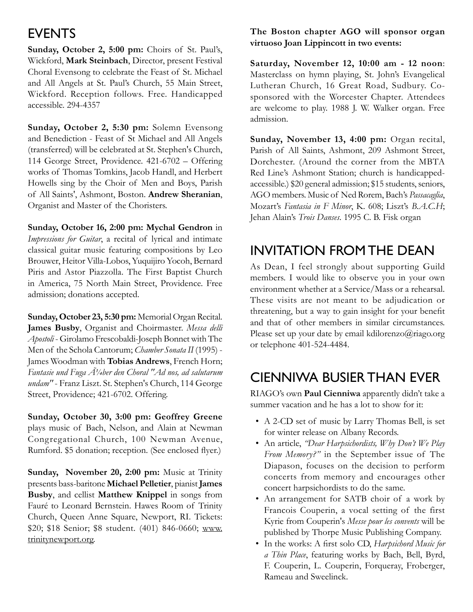## **EVENTS**

**Sunday, October 2, 5:00 pm:** Choirs of St. Paul's, Wickford, **Mark Steinbach**, Director, present Festival Choral Evensong to celebrate the Feast of St. Michael and All Angels at St. Paul's Church, 55 Main Street, Wickford. Reception follows. Free. Handicapped accessible. 294-4357

**Sunday, October 2, 5:30 pm:** Solemn Evensong and Benediction - Feast of St Michael and All Angels (transferred) will be celebrated at St. Stephen's Church, 114 George Street, Providence. 421-6702 – Offering works of Thomas Tomkins, Jacob Handl, and Herbert Howells sing by the Choir of Men and Boys, Parish of All Saints', Ashmont, Boston. **Andrew Sheranian**, Organist and Master of the Choristers.

**Sunday, October 16, 2:00 pm: Mychal Gendron** in *Impressions for Guitar*, a recital of lyrical and intimate classical guitar music featuring compositions by Leo Brouwer, Heitor Villa-Lobos, Yuquijiro Yocoh, Bernard Piris and Astor Piazzolla. The First Baptist Church in America, 75 North Main Street, Providence. Free admission; donations accepted.

**Sunday, October 23, 5:30 pm:** Memorial Organ Recital. **James Busby**, Organist and Choirmaster. *Messa delli Apostoli* - Girolamo Frescobaldi-Joseph Bonnet with The Men of the Schola Cantorum; *Chamber Sonata II* (1995) - James Woodman with **Tobias Andrews**, French Horn; *Fantasie und Fuga*  $\tilde{A}$ *'/4ber den Choral "Ad nos, ad salutarum undam"* - Franz Liszt. St. Stephen's Church, 114 George Street, Providence; 421-6702. Offering.

**Sunday, October 30, 3:00 pm: Geoffrey Greene** plays music of Bach, Nelson, and Alain at Newman Congregational Church, 100 Newman Avenue, Rumford. \$5 donation; reception. (See enclosed flyer.)

**Sunday, November 20, 2:00 pm:** Music at Trinity presents bass-baritone **Michael Pelletier**, pianist **James Busby**, and cellist **Matthew Knippel** in songs from Fauré to Leonard Bernstein. Hawes Room of Trinity Church, Queen Anne Square, Newport, RI. Tickets: \$20; \$18 Senior; \$8 student. (401) 846-0660; www. trinitynewport.org.

### **The Boston chapter AGO will sponsor organ virtuoso Joan Lippincott in two events:**

**Saturday, November 12, 10:00 am - 12 noon**: Masterclass on hymn playing, St. John's Evangelical Lutheran Church, 16 Great Road, Sudbury. Cosponsored with the Worcester Chapter. Attendees are welcome to play. 1988 J. W. Walker organ. Free admission.

**Sunday, November 13, 4:00 pm:** Organ recital, Parish of All Saints, Ashmont, 209 Ashmont Street, Dorchester. (Around the corner from the MBTA Red Line's Ashmont Station; church is handicappedaccessible.) \$20 general admission; \$15 students, seniors, AGO members. Music of Ned Rorem, Bach's *Passacaglia*, Mozart's *Fantasia in F Minor*, K. 608; Liszt's *B.A.C.H*; Jehan Alain's *Trois Danses*. 1995 C. B. Fisk organ

# Invitation from the Dean

As Dean, I feel strongly about supporting Guild members. I would like to observe you in your own environment whether at a Service/Mass or a rehearsal. These visits are not meant to be adjudication or threatening, but a way to gain insight for your benefit and that of other members in similar circumstances. Please set up your date by email kdilorenzo@riago.org or telephone 401-524-4484.

# Cienniwa Busier than Ever

RIAGO's own **Paul Cienniwa** apparently didn't take a summer vacation and he has a lot to show for it:

- A 2-CD set of music by Larry Thomas Bell, is set for winter release on Albany Records.
- An article, *"Dear Harpsichordists, Why Don't We Play From Memory?"* in the September issue of The Diapason, focuses on the decision to perform concerts from memory and encourages other concert harpsichordists to do the same.
- An arrangement for SATB choir of a work by Francois Couperin, a vocal setting of the first Kyrie from Couperin's *Messe pour les convents* will be published by Thorpe Music Publishing Company.
- In the works: A first solo CD, *Harpsichord Music for a Thin Place*, featuring works by Bach, Bell, Byrd, F. Couperin, L. Couperin, Forqueray, Froberger, Rameau and Sweelinck.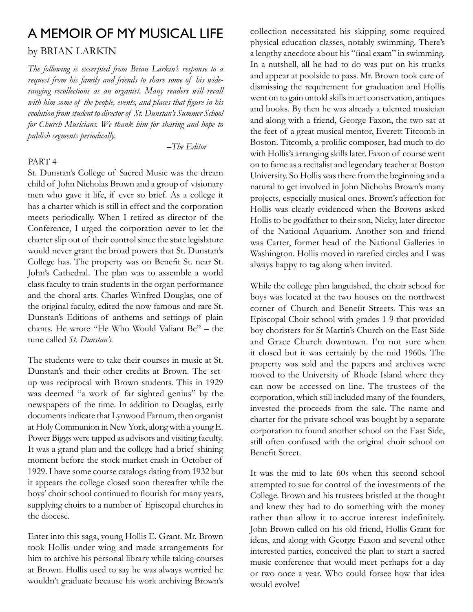# A Memoir of My Musical Life

### by Brian Larkin

*The following is excerpted from Brian Larkin's response to a request from his family and friends to share some of his wideranging recollections as an organist. Many readers will recall with him some of the people, events, and places that figure in his evolution from student to director of St. Dunstan's Summer School for Church Musicians. We thank him for sharing and hope to publish segments periodically.*

*–The Editor* 

#### PART 4

St. Dunstan's College of Sacred Music was the dream child of John Nicholas Brown and a group of visionary men who gave it life, if ever so brief. As a college it has a charter which is still in effect and the corporation meets periodically. When I retired as director of the Conference, I urged the corporation never to let the charter slip out of their control since the state legislature would never grant the broad powers that St. Dunstan's College has. The property was on Benefit St. near St. John's Cathedral. The plan was to assemble a world class faculty to train students in the organ performance and the choral arts. Charles Winfred Douglas, one of the original faculty, edited the now famous and rare St. Dunstan's Editions of anthems and settings of plain chants. He wrote "He Who Would Valiant Be" – the tune called *St. Dunstan's.*

The students were to take their courses in music at St. Dunstan's and their other credits at Brown. The setup was reciprocal with Brown students. This in 1929 was deemed "a work of far sighted genius" by the newspapers of the time. In addition to Douglas, early documents indicate that Lynwood Farnum, then organist at Holy Communion in New York, along with a young E. Power Biggs were tapped as advisors and visiting faculty. It was a grand plan and the college had a brief shining moment before the stock market crash in October of 1929. I have some course catalogs dating from 1932 but it appears the college closed soon thereafter while the boys' choir school continued to flourish for many years, supplying choirs to a number of Episcopal churches in the diocese.

Enter into this saga, young Hollis E. Grant. Mr. Brown took Hollis under wing and made arrangements for him to archive his personal library while taking courses at Brown. Hollis used to say he was always worried he wouldn't graduate because his work archiving Brown's

collection necessitated his skipping some required physical education classes, notably swimming. There's a lengthy anecdote about his "final exam" in swimming. In a nutshell, all he had to do was put on his trunks and appear at poolside to pass. Mr. Brown took care of dismissing the requirement for graduation and Hollis went on to gain untold skills in art conservation, antiques and books. By then he was already a talented musician and along with a friend, George Faxon, the two sat at the feet of a great musical mentor, Everett Titcomb in Boston. Titcomb, a prolific composer, had much to do with Hollis's arranging skills later. Faxon of course went on to fame as a recitalist and legendary teacher at Boston University. So Hollis was there from the beginning and a natural to get involved in John Nicholas Brown's many projects, especially musical ones. Brown's affection for Hollis was clearly evidenced when the Browns asked Hollis to be godfather to their son, Nicky, later director of the National Aquarium. Another son and friend was Carter, former head of the National Galleries in Washington. Hollis moved in rarefied circles and I was always happy to tag along when invited.

While the college plan languished, the choir school for boys was located at the two houses on the northwest corner of Church and Benefit Streets. This was an Episcopal Choir school with grades 1-9 that provided boy choristers for St Martin's Church on the East Side and Grace Church downtown. I'm not sure when it closed but it was certainly by the mid 1960s. The property was sold and the papers and archives were moved to the University of Rhode Island where they can now be accessed on line. The trustees of the corporation, which still included many of the founders, invested the proceeds from the sale. The name and charter for the private school was bought by a separate corporation to found another school on the East Side, still often confused with the original choir school on Benefit Street.

It was the mid to late 60s when this second school attempted to sue for control of the investments of the College. Brown and his trustees bristled at the thought and knew they had to do something with the money rather than allow it to accrue interest indefinitely. John Brown called on his old friend, Hollis Grant for ideas, and along with George Faxon and several other interested parties, conceived the plan to start a sacred music conference that would meet perhaps for a day or two once a year. Who could forsee how that idea would evolve!